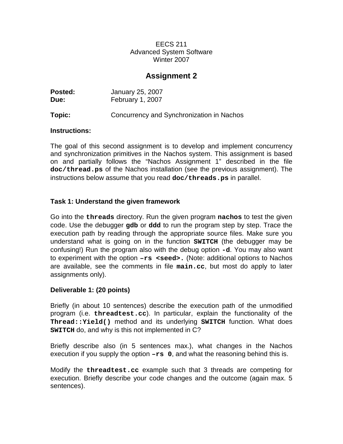# **Assignment 2**

| Posted: | January 25, 2007                          |
|---------|-------------------------------------------|
| Due:    | February 1, 2007                          |
| Topic:  | Concurrency and Synchronization in Nachos |

#### **Instructions:**

The goal of this second assignment is to develop and implement concurrency and synchronization primitives in the Nachos system. This assignment is based on and partially follows the "Nachos Assignment 1" described in the file **doc/thread.ps** of the Nachos installation (see the previous assignment). The instructions below assume that you read **doc/threads.ps** in parallel.

#### **Task 1: Understand the given framework**

Go into the **threads** directory. Run the given program **nachos** to test the given code. Use the debugger **gdb** or **ddd** to run the program step by step. Trace the execution path by reading through the appropriate source files. Make sure you understand what is going on in the function **SWITCH** (the debugger may be confusing!) Run the program also with the debug option **-d**. You may also want to experiment with the option **–rs <seed>.** (Note: additional options to Nachos are available, see the comments in file **main.cc**, but most do apply to later assignments only).

#### **Deliverable 1: (20 points)**

Briefly (in about 10 sentences) describe the execution path of the unmodified program (i.e. **threadtest.cc**). In particular, explain the functionality of the **Thread::Yield()** method and its underlying **SWITCH** function. What does **SWITCH** do, and why is this not implemented in C?

Briefly describe also (in 5 sentences max.), what changes in the Nachos execution if you supply the option  $-rs$  0, and what the reasoning behind this is.

Modify the **threadtest.cc** example such that 3 threads are competing for execution. Briefly describe your code changes and the outcome (again max. 5 sentences).